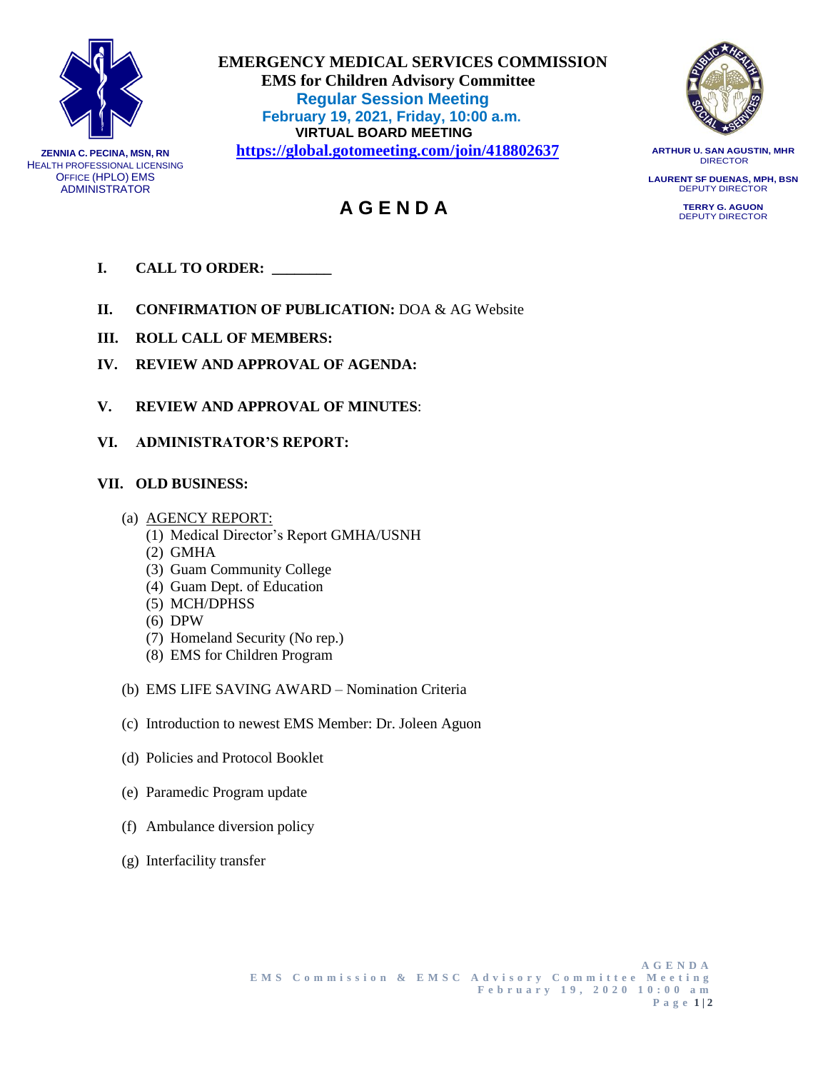

**ZENNIA C. PECINA, MSN, RN** HEALTH PROFESSIONAL LICENSING OFFICE (HPLO) EMS ADMINISTRATOR

 **EMERGENCY MEDICAL SERVICES COMMISSION EMS for Children Advisory Committee Regular Session Meeting February 19, 2021, Friday, 10:00 a.m. VIRTUAL BOARD MEETING <https://global.gotomeeting.com/join/418802637>**

 **A G E N D A**



**ARTHUR U. SAN AGUSTIN, MHR** DIRECTOR

**LAURENT SF DUENAS, MPH, BSN** DEPUTY DIRECTOR

> **TERRY G. AGUON** DEPUTY DIRECTOR

- 
- **II. CONFIRMATION OF PUBLICATION:** DOA & AG Website
- **III. ROLL CALL OF MEMBERS:**

**I. CALL TO ORDER: \_\_\_\_\_\_\_\_**

- **IV. REVIEW AND APPROVAL OF AGENDA:**
- **V. REVIEW AND APPROVAL OF MINUTES**:
- **VI. ADMINISTRATOR'S REPORT:**

## **VII. OLD BUSINESS:**

- (a) AGENCY REPORT:
	- (1) Medical Director's Report GMHA/USNH
	- (2) GMHA
	- (3) Guam Community College
	- (4) Guam Dept. of Education
	- (5) MCH/DPHSS
	- (6) DPW
	- (7) Homeland Security (No rep.)
	- (8) EMS for Children Program
- (b) EMS LIFE SAVING AWARD Nomination Criteria
- (c) Introduction to newest EMS Member: Dr. Joleen Aguon
- (d) Policies and Protocol Booklet
- (e) Paramedic Program update
- (f) Ambulance diversion policy
- (g) Interfacility transfer